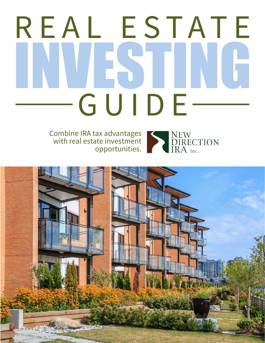# INVESTING REAL ESTATE GUIDE

Combine IRA tax advantages with real estate investment opportunities.



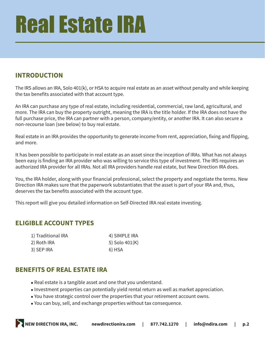### **INTRODUCTION**

The IRS allows an IRA, Solo 401(k), or HSA to acquire real estate as an asset without penalty and while keeping the tax benefits associated with that account type.

An IRA can purchase any type of real estate, including residential, commercial, raw land, agricultural, and more. The IRA can buy the property outright, meaning the IRA is the title holder. If the IRA does not have the full purchase price, the IRA can partner with a person, company/entity, or another IRA. It can also secure a non-recourse loan (see below) to buy real estate.

Real estate in an IRA provides the opportunity to generate income from rent, appreciation, fixing and flipping, and more.

It has been possible to participate in real estate as an asset since the inception of IRAs. What has not always been easy is finding an IRA provider who was willing to service this type of investment. The IRS requires an authorized IRA provider for all IRAs. Not all IRA providers handle real estate, but New Direction IRA does.

You, the IRA holder, along with your financial professional, select the property and negotiate the terms. New Direction IRA makes sure that the paperwork substantiates that the asset is part of your IRA and, thus, deserves the tax benefits associated with the account type.

This report will give you detailed information on Self-Directed IRA real estate investing.

### **ELIGIBLE ACCOUNT TYPES**

| 1) Traditional IRA | 4) SIMPLE IRA  |
|--------------------|----------------|
| 2) Roth IRA        | 5) Solo 401(K) |
| 3) SEP IRA         | 6) HSA         |

#### **BENEFITS OF REAL ESTATE IRA**

- Real estate is a tangible asset and one that you understand.
- Investment properties can potentially yield rental return as well as market appreciation.
- You have strategic control over the properties that your retirement account owns.
- You can buy, sell, and exchange properties without tax consequence.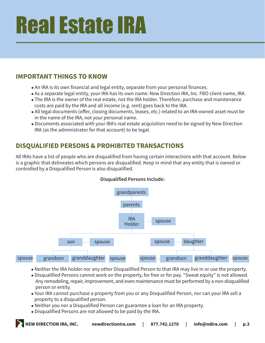### **IMPORTANT THINGS TO KNOW**

- An IRA is its own financial and legal entity, separate from your personal finances.
- As a separate legal entity, your IRA has its own name: New Direction IRA, Inc. FBO client name, IRA.
- The IRA is the owner of the real estate, not the IRA holder. Therefore, purchase and maintenance costs are paid by the IRA and all income (e.g. rent) goes back to the IRA.
- All legal documents (offer, closing documents, leases, etc.) related to an IRA-owned asset must be in the name of the IRA, not your personal name.
- Documents associated with your IRA's real estate acquisition need to be signed by New Direction IRA (as the administrator for that account) to be legal.

# **DISQUALIFIED PERSONS & PROHIBITED TRANSACTIONS**

All IRAs have a list of people who are disqualified from having certain interactions with that account. Below is a graphic that delineates which persons are disqualified. Keep in mind that any entity that is owned or controlled by a Disqualified Person is also disqualified.



#### **Disqualified Persons Include:**

- Neither the IRA holder nor any other Disqualified Person to that IRA may live in or use the property.
- Disqualified Persons cannot work on the property, for free or for pay. "Sweat equity" is not allowed. Any remodeling, repair, improvement, and even maintenance must be performed by a non-disqualified person or entity.
- Your IRA cannot purchase a property from you or any Disqualified Person, nor can your IRA sell a property to a disqualified person.
- Neither you nor a Disqualified Person can guarantee a loan for an IRA property.
- Disqualified Persons are not allowed to be paid by the IRA.

**NEW DIRECTION IRA, INC. newdirectionira.com | 877.742.1270 | info@ndira.com | p.3**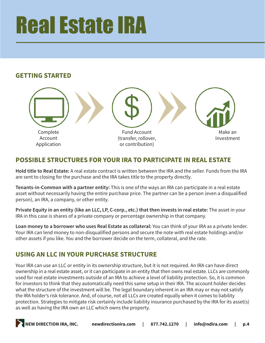### **GETTING STARTED**



### **POSSIBLE STRUCTURES FOR YOUR IRA TO PARTICIPATE IN REAL ESTATE**

**Hold title to Real Estate:** A real estate contract is written between the IRA and the seller. Funds from the IRA are sent to closing for the purchase and the IRA takes title to the property directly.

**Tenants-in-Common with a partner entity:** This is one of the ways an IRA can participate in a real estate asset without necessarily having the entire purchase price. The partner can be a person (even a disqualified person), an IRA, a company, or other entity.

**Private Equity in an entity (like an LLC, LP, C-corp., etc.) that then invests in real estate:** The asset in your IRA in this case is shares of a private company or percentage ownership in that company.

**Loan money to a borrower who uses Real Estate as collateral:** You can think of your IRA as a private lender. Your IRA can lend money to non-disqualified persons and secure the note with real estate holdings and/or other assets if you like. You and the borrower decide on the term, collateral, and the rate.

### **USING AN LLC IN YOUR PURCHASE STRUCTURE**

Your IRA can use an LLC or entity in its ownership structure, but it is not required. An IRA can have direct ownership in a real estate asset, or it can participate in an entity that then owns real estate. LLCs are commonly used for real estate investments outside of an IRA to achieve a level of liability protection. So, it is common for investors to think that they automatically need this same setup in their IRA. The account holder decides what the structure of the investment will be. The legal boundary inherent in an IRA may or may not satisfy the IRA holder's risk tolerance. And, of course, not all LLCs are created equally when it comes to liability protection. Strategies to mitigate risk certainly include liability insurance purchased by the IRA for its asset(s) as well as having the IRA own an LLC which owns the property.

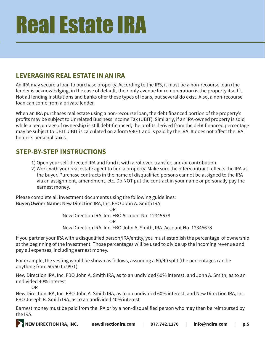### **LEVERAGING REAL ESTATE IN AN IRA**

An IRA may secure a loan to purchase property. According to the IRS, it must be a non-recourse loan (the lender is acknowledging, in the case of default, their only avenue for remuneration is the property itself ). Not all lending institutions and banks offer these types of loans, but several do exist. Also, a non-recourse loan can come from a private lender.

When an IRA purchases real estate using a non-recourse loan, the debt financed portion of the property's profits may be subject to Unrelated Business Income Tax (UBIT). Similarly, if an IRA-owned property is sold while a percentage of ownership is still debt-financed, the profits derived from the debt financed percentage may be subject to UBIT. UBIT is calculated on a form 990-T and is paid by the IRA. It does not affect the IRA holder's personal taxes.

### **STEP-BY-STEP INSTRUCTIONS**

- 1) Open your self-directed IRA and fund it with a rollover, transfer, and/or contribution.
- 2) Work with your real estate agent to find a property. Make sure the offer/contract reflects the IRA as the buyer. Purchase contracts in the name of disqualified persons cannot be assigned to the IRA via an assignment, amendment, etc. Do NOT put the contract in your name or personally pay the earnest money.

Please complete all investment documents using the following guidelines: **Buyer/Owner Name:** New Direction IRA, Inc. FBO John A. Smith IRA

**OR** Service Service Service Service Service Service Service Service Service Service Service Service Service Service Service Service Service Service Service Service Service Service Service Service Service Service Service S New Direction IRA, Inc. FBO Account No. 12345678 **OR** Service of the state of the state of the state of the state of the state of the state of the state of the state of the state of the state of the state of the state of the state of the state of the state of the state o New Direction IRA, Inc. FBO John A. Smith, IRA, Account No. 12345678

If you partner your IRA with a disqualified person/IRA/entity, you must establish the percentage of ownership at the beginning of the investment. Those percentages will be used to divide up the incoming revenue and pay all expenses, including earnest money.

For example, the vesting would be shown as follows, assuming a 60/40 split (the percentages can be anything from 50/50 to 99/1):

New Direction IRA, Inc. FBO John A. Smith IRA, as to an undivided 60% interest, and John A. Smith, as to an undivided 40% interest

OR

New Direction IRA, Inc. FBO John A. Smith IRA, as to an undivided 60% interest, and New Direction IRA, Inc. FBO Joseph B. Smith IRA, as to an undivided 40% interest

Earnest money must be paid from the IRA or by a non-disqualified person who may then be reimbursed by the IRA.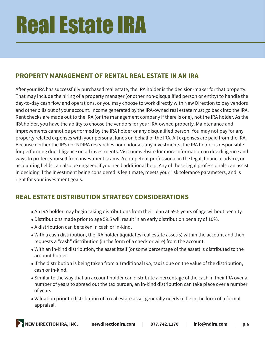# **PROPERTY MANAGEMENT OF RENTAL REAL ESTATE IN AN IRA**

After your IRA has successfully purchased real estate, the IRA holder is the decision-maker for that property. That may include the hiring of a property manager (or other non-disqualified person or entity) to handle the day-to-day cash flow and operations, or you may choose to work directly with New Direction to pay vendors and other bills out of your account. Income generated by the IRA-owned real estate must go back into the IRA. Rent checks are made out to the IRA (or the management company if there is one), not the IRA holder. As the IRA holder, you have the ability to choose the vendors for your IRA-owned property. Maintenance and improvements cannot be performed by the IRA holder or any disqualified person. You may not pay for any property related expenses with your personal funds on behalf of the IRA. All expenses are paid from the IRA. Because neither the IRS nor NDIRA researches nor endorses any investments, the IRA holder is responsible for performing due diligence on all investments. Visit our website for more information on due diligence and ways to protect yourself from investment scams. A competent professional in the legal, financial advice, or accounting fields can also be engaged if you need additional help. Any of these legal professionals can assist in deciding if the investment being considered is legitimate, meets your risk tolerance parameters, and is right for your investment goals.

# **REAL ESTATE DISTRIBUTION STRATEGY CONSIDERATIONS**

- An IRA holder may begin taking distributions from their plan at 59.5 years of age without penalty.
- Distributions made prior to age 59.5 will result in an early distribution penalty of 10%.
- A distribution can be taken in cash or in-kind.
- With a cash distribution, the IRA holder liquidates real estate asset(s) within the account and then requests a "cash" distribution (in the form of a check or wire) from the account.
- With an in-kind distribution, the asset itself (or some percentage of the asset) is distributed to the account holder.
- <sup>l</sup> If the distribution is being taken from a Traditional IRA, tax is due on the value of the distribution, cash or in-kind.
- Similar to the way that an account holder can distribute a percentage of the cash in their IRA over a number of years to spread out the tax burden, an in-kind distribution can take place over a number of years.
- Valuation prior to distribution of a real estate asset generally needs to be in the form of a formal appraisal.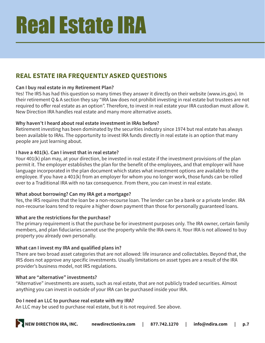# **REAL ESTATE IRA FREQUENTLY ASKED QUESTIONS**

#### **Can I buy real estate in my Retirement Plan?**

Yes! The IRS has had this question so many times they answer it directly on their website (www.irs.gov). In their retirement Q & A section they say "IRA law does not prohibit investing in real estate but trustees are not required to offer real estate as an option". Therefore, to invest in real estate your IRA custodian must allow it. New Direction IRA handles real estate and many more alternative assets.

#### **Why haven't I heard about real estate investment in IRAs before?**

Retirement investing has been dominated by the securities industry since 1974 but real estate has always been available to IRAs. The opportunity to invest IRA funds directly in real estate is an option that many people are just learning about.

#### **I have a 401(k). Can I invest that in real estate?**

Your 401(k) plan may, at your direction, be invested in real estate if the investment provisions of the plan permit it. The employer establishes the plan for the benefit of the employees, and that employer will have language incorporated in the plan document which states what investment options are available to the employee. If you have a 401(k) from an employer for whom you no longer work, those funds can be rolled over to a Traditional IRA with no tax consequence. From there, you can invest in real estate.

#### **What about borrowing? Can my IRA get a mortgage?**

Yes, the IRS requires that the loan be a non-recourse loan. The lender can be a bank or a private lender. IRA non-recourse loans tend to require a higher down payment than those for personally guaranteed loans.

#### **What are the restrictions for the purchase?**

The primary requirement is that the purchase be for investment purposes only. The IRA owner, certain family members, and plan fiduciaries cannot use the property while the IRA owns it. Your IRA is not allowed to buy property you already own personally.

#### **What can I invest my IRA and qualified plans in?**

There are two broad asset categories that are not allowed: life insurance and collectables. Beyond that, the IRS does not approve any specific investments. Usually limitations on asset types are a result of the IRA provider's business model, not IRS regulations.

#### **What are "alternative" investments?**

"Alternative" investments are assets, such as real estate, that are not publicly traded securities. Almost anything you can invest in outside of your IRA can be purchased inside your IRA.

#### **Do I need an LLC to purchase real estate with my IRA?**

An LLC may be used to purchase real estate, but it is not required. See above.

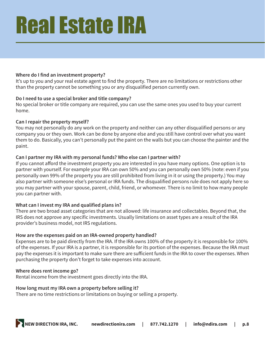#### **Where do I find an investment property?**

It's up to you and your real estate agent to find the property. There are no limitations or restrictions other than the property cannot be something you or any disqualified person currently own.

#### **Do I need to use a special broker and title company?**

No special broker or title company are required, you can use the same ones you used to buy your current home.

#### **Can I repair the property myself?**

You may not personally do any work on the property and neither can any other disqualified persons or any company you or they own. Work can be done by anyone else and you still have control over what you want them to do. Basically, you can't personally put the paint on the walls but you can choose the painter and the paint.

#### **Can I partner my IRA with my personal funds? Who else can I partner with?**

If you cannot afford the investment property you are interested in you have many options. One option is to partner with yourself. For example your IRA can own 50% and you can personally own 50% (note: even if you personally own 99% of the property you are still prohibited from living in it or using the property.) You may also partner with someone else's personal or IRA funds. The disqualified persons rule does not apply here so you may partner with your spouse, parent, child, friend, or whomever. There is no limit to how many people you can partner with.

#### **What can I invest my IRA and qualified plans in?**

There are two broad asset categories that are not allowed: life insurance and collectables. Beyond that, the IRS does not approve any specific investments. Usually limitations on asset types are a result of the IRA provider's business model, not IRS regulations.

#### **How are the expenses paid on an IRA-owned property handled?**

Expenses are to be paid directly from the IRA. If the IRA owns 100% of the property it is responsible for 100% of the expenses. If your IRA is a partner, it is responsible for its portion of the expenses. Because the IRA must pay the expenses it is important to make sure there are sufficient funds in the IRA to cover the expenses. When purchasing the property don't forget to take expenses into account.

#### **Where does rent income go?**

Rental income from the investment goes directly into the IRA.

#### **How long must my IRA own a property before selling it?**

There are no time restrictions or limitations on buying or selling a property.